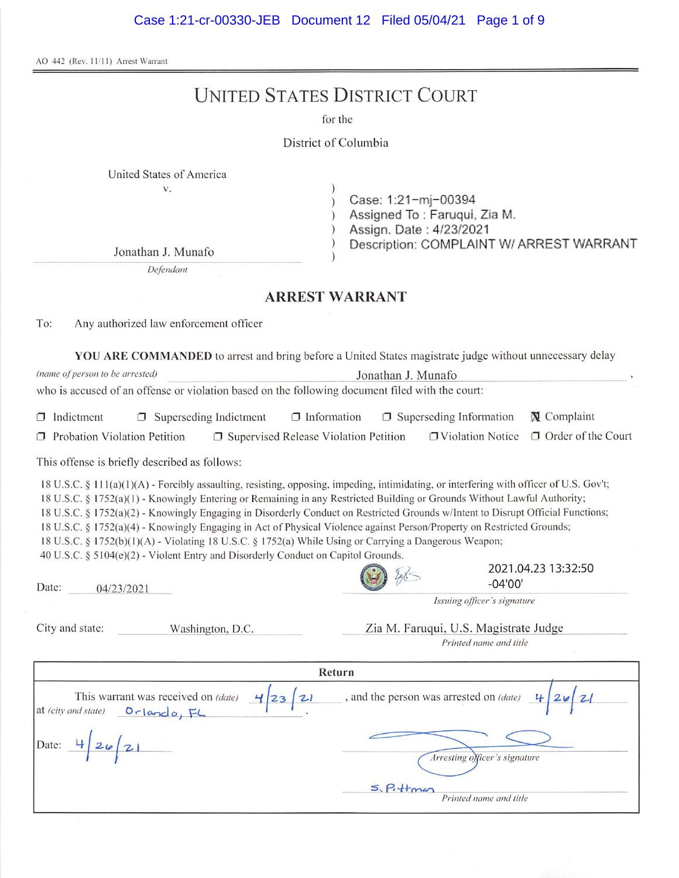AO 442 (Rev. 11/11) Arrest Warrant

# **UNITED STATES DISTRICT COURT**

for the

### District of Columbia

 $\mathcal{L}$ 

 $\lambda$ 

| United States of America |  |  |
|--------------------------|--|--|

 $\mathbf V$  .

Case: 1:21-mj-00394  $\mathcal{E}$ 

Assigned To: Faruqui, Zia M.

Assign. Date: 4/23/2021

Description: COMPLAINT W/ ARREST WARRANT

Jonathan J. Munafo

Defendant

### **ARREST WARRANT**

To: Any authorized law enforcement officer

YOU ARE COMMANDED to arrest and bring before a United States magistrate judge without unnecessary delay

| (name of person to be arrested)                                                                                                                                                                                                                                                                                                                                                                                                                                                                                                                                                                                                                                                                                                | Jonathan J. Munafo    |                                                                 |                           |
|--------------------------------------------------------------------------------------------------------------------------------------------------------------------------------------------------------------------------------------------------------------------------------------------------------------------------------------------------------------------------------------------------------------------------------------------------------------------------------------------------------------------------------------------------------------------------------------------------------------------------------------------------------------------------------------------------------------------------------|-----------------------|-----------------------------------------------------------------|---------------------------|
| who is accused of an offense or violation based on the following document filed with the court:                                                                                                                                                                                                                                                                                                                                                                                                                                                                                                                                                                                                                                |                       |                                                                 |                           |
| $\Box$ Information<br>$\Box$ Indictment<br>$\Box$ Superseding Indictment                                                                                                                                                                                                                                                                                                                                                                                                                                                                                                                                                                                                                                                       |                       | $\Box$ Superseding Information                                  | <b>X</b> Complaint        |
| Probation Violation Petition<br>$\Box$ Supervised Release Violation Petition                                                                                                                                                                                                                                                                                                                                                                                                                                                                                                                                                                                                                                                   |                       | □ Violation Notice                                              | $\Box$ Order of the Court |
| This offense is briefly described as follows:                                                                                                                                                                                                                                                                                                                                                                                                                                                                                                                                                                                                                                                                                  |                       |                                                                 |                           |
| 18 U.S.C. § 111(a)(1)(A) - Forcibly assaulting, resisting, opposing, impeding, intimidating, or interfering with officer of U.S. Gov't;<br>18 U.S.C. § 1752(a)(1) - Knowingly Entering or Remaining in any Restricted Building or Grounds Without Lawful Authority;<br>18 U.S.C. § 1752(a)(2) - Knowingly Engaging in Disorderly Conduct on Restricted Grounds w/Intent to Disrupt Official Functions;<br>18 U.S.C. § 1752(a)(4) - Knowingly Engaging in Act of Physical Violence against Person/Property on Restricted Grounds;<br>18 U.S.C. § 1752(b)(1)(A) - Violating 18 U.S.C. § 1752(a) While Using or Carrying a Dangerous Weapon;<br>40 U.S.C. § 5104(e)(2) - Violent Entry and Disorderly Conduct on Capitol Grounds. |                       |                                                                 |                           |
| Date:<br>04/23/2021                                                                                                                                                                                                                                                                                                                                                                                                                                                                                                                                                                                                                                                                                                            |                       | $-04'00'$                                                       | 2021.04.23 13:32:50       |
|                                                                                                                                                                                                                                                                                                                                                                                                                                                                                                                                                                                                                                                                                                                                |                       | Issuing officer's signature                                     |                           |
| City and state:<br>Washington, D.C.                                                                                                                                                                                                                                                                                                                                                                                                                                                                                                                                                                                                                                                                                            |                       | Zia M. Faruqui, U.S. Magistrate Judge<br>Printed name and title |                           |
|                                                                                                                                                                                                                                                                                                                                                                                                                                                                                                                                                                                                                                                                                                                                | Return                |                                                                 |                           |
| This warrant was received on (date)<br>23<br>at (city and state)<br>Orlando, FL                                                                                                                                                                                                                                                                                                                                                                                                                                                                                                                                                                                                                                                |                       | , and the person was arrested on (date)                         |                           |
| Date: $426/21$                                                                                                                                                                                                                                                                                                                                                                                                                                                                                                                                                                                                                                                                                                                 |                       | Arresting officer's signature                                   |                           |
|                                                                                                                                                                                                                                                                                                                                                                                                                                                                                                                                                                                                                                                                                                                                | $S.$ $P.$ $+$ $+$ $-$ | Printed name and title                                          |                           |
|                                                                                                                                                                                                                                                                                                                                                                                                                                                                                                                                                                                                                                                                                                                                |                       |                                                                 |                           |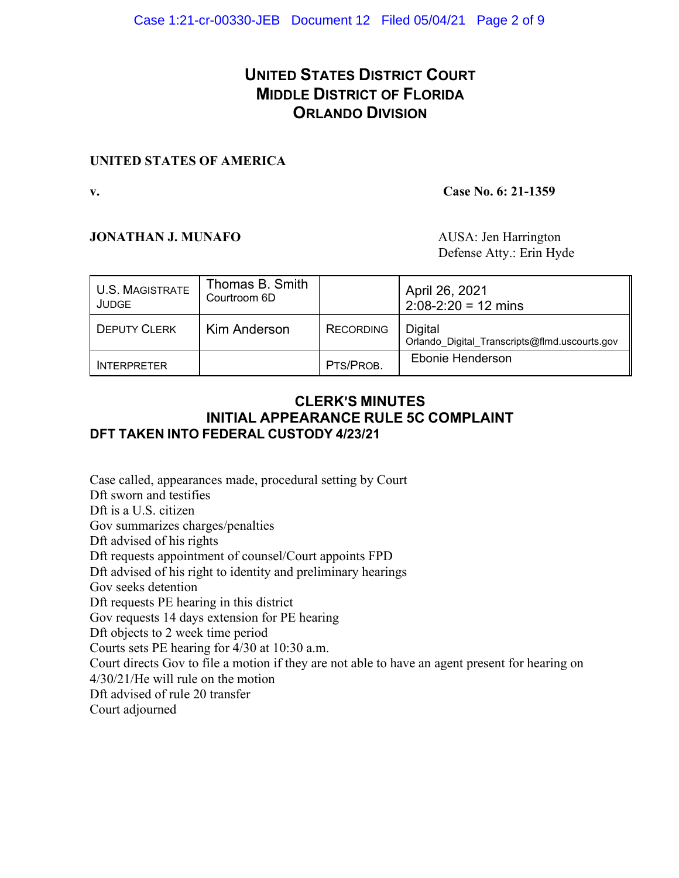# **UNITED STATES DISTRICT COURT MIDDLE DISTRICT OF FLORIDA ORLANDO DIVISION**

## **UNITED STATES OF AMERICA**

### **v. Case No. 6: 21-1359**

## **JONATHAN J. MUNAFO** AUSA: Jen Harrington

Defense Atty.: Erin Hyde

| <b>U.S. MAGISTRATE</b><br><b>JUDGE</b> | Thomas B. Smith<br>Courtroom 6D |                  | April 26, 2021<br>$2:08-2:20 = 12 \text{ mins}$          |
|----------------------------------------|---------------------------------|------------------|----------------------------------------------------------|
| <b>DEPUTY CLERK</b>                    | Kim Anderson                    | <b>RECORDING</b> | Digital<br>Orlando Digital Transcripts@flmd.uscourts.gov |
| <b>INTERPRETER</b>                     |                                 | PTS/PROB.        | Ebonie Henderson                                         |

## **CLERK**=**S MINUTES INITIAL APPEARANCE RULE 5C COMPLAINT DFT TAKEN INTO FEDERAL CUSTODY 4/23/21**

Case called, appearances made, procedural setting by Court Dft sworn and testifies Dft is a U.S. citizen Gov summarizes charges/penalties Dft advised of his rights Dft requests appointment of counsel/Court appoints FPD Dft advised of his right to identity and preliminary hearings Gov seeks detention Dft requests PE hearing in this district Gov requests 14 days extension for PE hearing Dft objects to 2 week time period Courts sets PE hearing for 4/30 at 10:30 a.m. Court directs Gov to file a motion if they are not able to have an agent present for hearing on 4/30/21/He will rule on the motion Dft advised of rule 20 transfer Court adjourned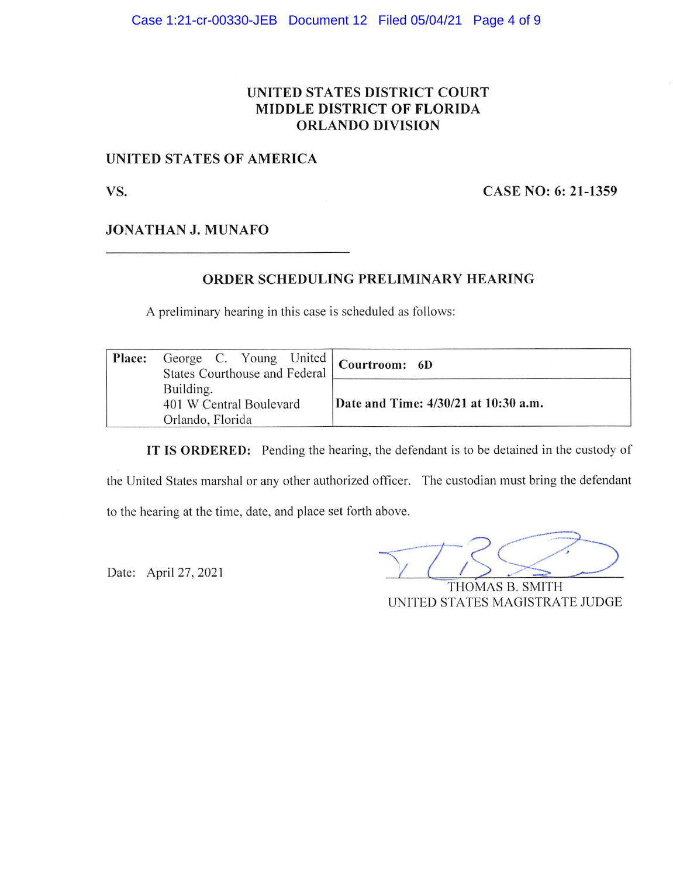## UNITED STATES DISTRICT COURT **MIDDLE DISTRICT OF FLORIDA ORLANDO DIVISION**

## UNITED STATES OF AMERICA

VS.

CASE NO: 6: 21-1359

**JONATHAN J. MUNAFO** 

## ORDER SCHEDULING PRELIMINARY HEARING

A preliminary hearing in this case is scheduled as follows:

| Place: | George C. Young United   Courtroom: 6D<br><b>States Courthouse and Federal</b> |                                      |
|--------|--------------------------------------------------------------------------------|--------------------------------------|
|        | Building.<br>401 W Central Boulevard<br>Orlando, Florida                       | Date and Time: 4/30/21 at 10:30 a.m. |

IT IS ORDERED: Pending the hearing, the defendant is to be detained in the custody of the United States marshal or any other authorized officer. The custodian must bring the defendant

to the hearing at the time, date, and place set forth above.

Date: April 27, 2021

THOMAS B. SMITH UNITED STATES MAGISTRATE JUDGE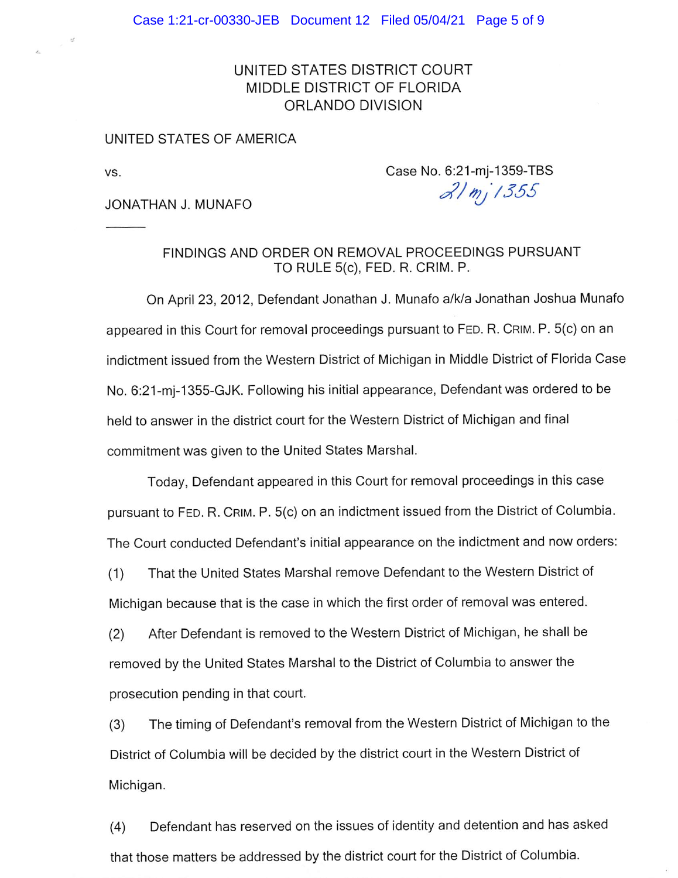## UNITED STATES DISTRICT COURT MIDDLE DISTRICT OF FLORIDA ORLANDO DIVISION

#### UNITED STATES OF AMERICA

VS.

Case No. 6:21-mj-1359-TBS  $2/mj$ 1355

JONATHAN J. MUNAFO

FINDINGS AND ORDER ON REMOVAL PROCEEDINGS PURSUANT TO RULE 5(c), FED. R. CRIM. P.

On April 23, 2012, Defendant Jonathan J. Munafo a/k/a Jonathan Joshua Munafo appeared in this Court for removal proceedings pursuant to FED. R. CRIM. P. 5(c) on an indictment issued from the Western District of Michigan in Middle District of Florida Case No. 6:21-mj-1355-GJK. Following his initial appearance, Defendant was ordered to be held to answer in the district court for the Western District of Michigan and final commitment was given to the United States Marshal.

Today, Defendant appeared in this Court for removal proceedings in this case pursuant to FED. R. CRIM. P. 5(c) on an indictment issued from the District of Columbia. The Court conducted Defendant's initial appearance on the indictment and now orders:

That the United States Marshal remove Defendant to the Western District of  $(1)$ Michigan because that is the case in which the first order of removal was entered.

After Defendant is removed to the Western District of Michigan, he shall be  $(2)$ removed by the United States Marshal to the District of Columbia to answer the prosecution pending in that court.

The timing of Defendant's removal from the Western District of Michigan to the  $(3)$ District of Columbia will be decided by the district court in the Western District of Michigan.

Defendant has reserved on the issues of identity and detention and has asked  $(4)$ that those matters be addressed by the district court for the District of Columbia.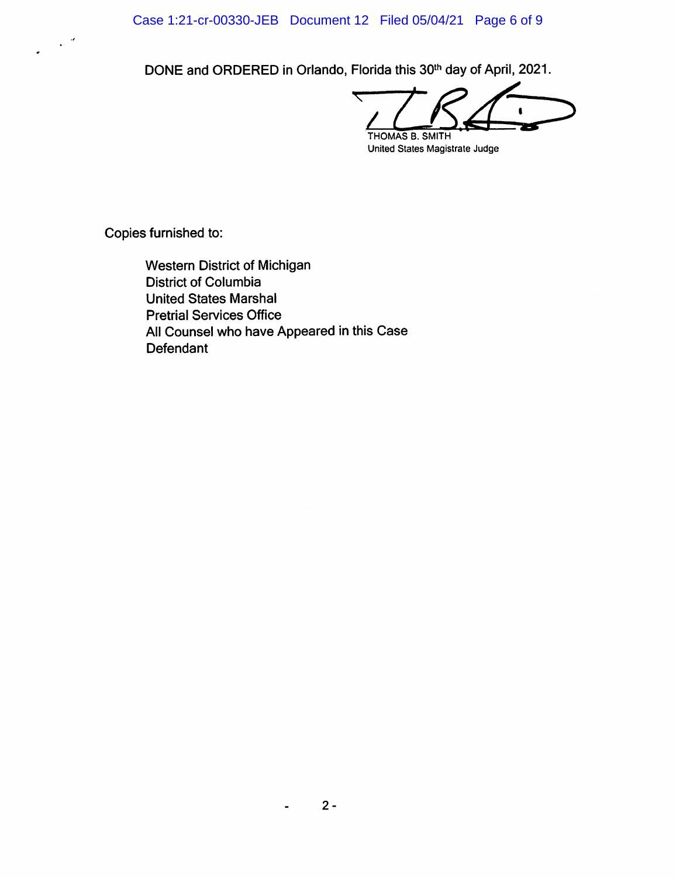Case 1:21-cr-00330-JEB Document 12 Filed 05/04/21 Page 6 of 9

DONE and ORDERED in Orlando, Florida this 30<sup>th</sup> day of April, 2021.

₹ THOMAS B. SMITH

United States Magistrate Judge

Copies furnished to:

 $\sim$   $^2$ 

Western District of Michigan **District of Columbia United States Marshal Pretrial Services Office** All Counsel who have Appeared in this Case Defendant

 $\blacksquare$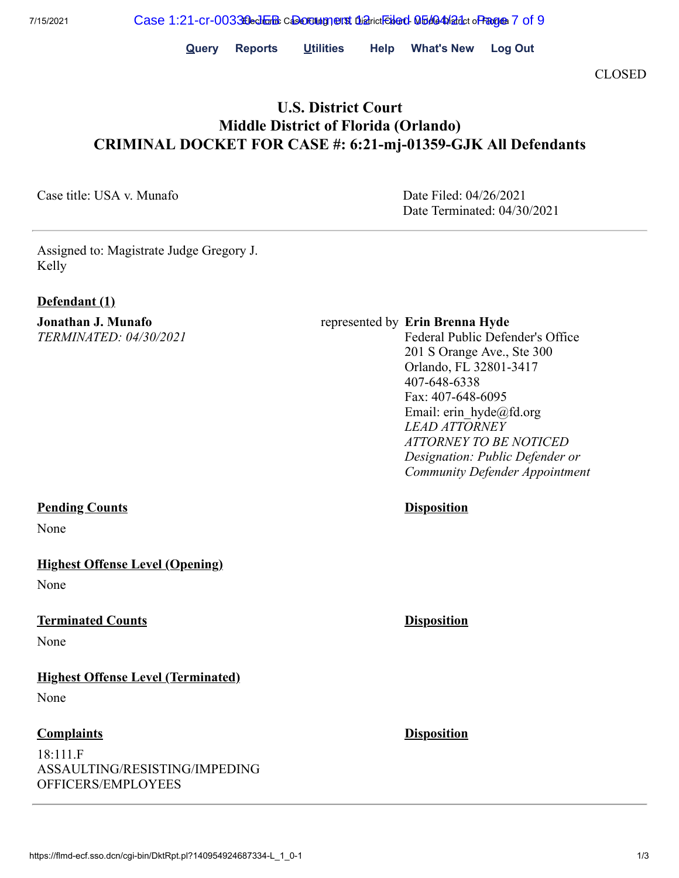**Query Reports Utilities Help What's New Log Out**

CLOSED

# **U.S. District Court Middle District of Florida (Orlando) CRIMINAL DOCKET FOR CASE #: 6:21-mj-01359-GJK All Defendants**

Case title: USA v. Munafo Date Filed: 04/26/2021

Date Terminated: 04/30/2021

Assigned to: Magistrate Judge Gregory J. Kelly

#### **Defendant (1)**

**Jonathan J. Munafo** *TERMINATED: 04/30/2021*

#### **Pending Counts Disposition**

None

## **Highest Offense Level (Opening)**

None

#### **Terminated Counts Disposition**

None

**Highest Offense Level (Terminated)**

None

### **Complaints Disposition**

18:111.F ASSAULTING/RESISTING/IMPEDING OFFICERS/EMPLOYEES

represented by **Erin Brenna Hyde** 

Federal Public Defender's Office 201 S Orange Ave., Ste 300 Orlando, FL 32801-3417 407-648-6338 Fax: 407-648-6095 Email: erin\_hyde@fd.org *LEAD ATTORNEY ATTORNEY TO BE NOTICED Designation: Public Defender or Community Defender Appointment*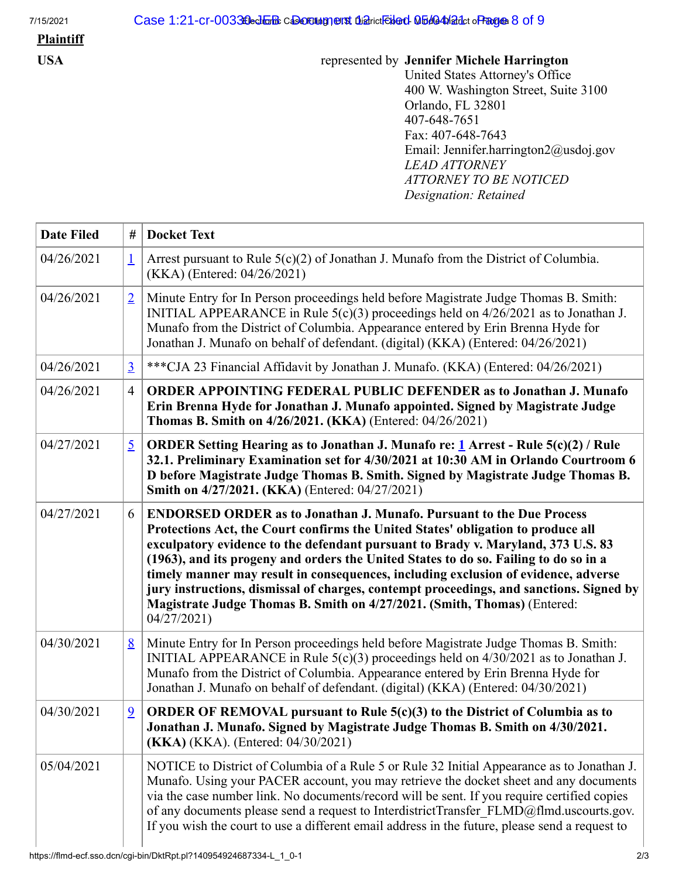# **Plaintiff**

## **USA** represented by **Jennifer Michele Harrington**

United States Attorney's Office 400 W. Washington Street, Suite 3100 Orlando, FL 32801 407-648-7651 Fax: 407-648-7643 Email: Jennifer.harrington2@usdoj.gov *LEAD ATTORNEY ATTORNEY TO BE NOTICED Designation: Retained*

| <b>Date Filed</b> | #              | <b>Docket Text</b>                                                                                                                                                                                                                                                                                                                                                                                                                                                                                                                                                                                                     |
|-------------------|----------------|------------------------------------------------------------------------------------------------------------------------------------------------------------------------------------------------------------------------------------------------------------------------------------------------------------------------------------------------------------------------------------------------------------------------------------------------------------------------------------------------------------------------------------------------------------------------------------------------------------------------|
| 04/26/2021        | $\perp$        | Arrest pursuant to Rule $5(c)(2)$ of Jonathan J. Munafo from the District of Columbia.<br>(KKA) (Entered: 04/26/2021)                                                                                                                                                                                                                                                                                                                                                                                                                                                                                                  |
| 04/26/2021        | $\overline{2}$ | Minute Entry for In Person proceedings held before Magistrate Judge Thomas B. Smith:<br>INITIAL APPEARANCE in Rule $5(c)(3)$ proceedings held on $4/26/2021$ as to Jonathan J.<br>Munafo from the District of Columbia. Appearance entered by Erin Brenna Hyde for<br>Jonathan J. Munafo on behalf of defendant. (digital) (KKA) (Entered: 04/26/2021)                                                                                                                                                                                                                                                                 |
| 04/26/2021        | $\overline{3}$ | *** CJA 23 Financial Affidavit by Jonathan J. Munafo. (KKA) (Entered: 04/26/2021)                                                                                                                                                                                                                                                                                                                                                                                                                                                                                                                                      |
| 04/26/2021        | $\overline{4}$ | <b>ORDER APPOINTING FEDERAL PUBLIC DEFENDER as to Jonathan J. Munafo</b><br>Erin Brenna Hyde for Jonathan J. Munafo appointed. Signed by Magistrate Judge<br>Thomas B. Smith on 4/26/2021. (KKA) (Entered: 04/26/2021)                                                                                                                                                                                                                                                                                                                                                                                                 |
| 04/27/2021        | $\overline{5}$ | <b>ORDER Setting Hearing as to Jonathan J. Munafo re: 1 Arrest - Rule 5(c)(2) / Rule</b><br>32.1. Preliminary Examination set for 4/30/2021 at 10:30 AM in Orlando Courtroom 6<br>D before Magistrate Judge Thomas B. Smith. Signed by Magistrate Judge Thomas B.<br>Smith on 4/27/2021. (KKA) (Entered: 04/27/2021)                                                                                                                                                                                                                                                                                                   |
| 04/27/2021        | 6              | <b>ENDORSED ORDER as to Jonathan J. Munafo. Pursuant to the Due Process</b><br>Protections Act, the Court confirms the United States' obligation to produce all<br>exculpatory evidence to the defendant pursuant to Brady v. Maryland, 373 U.S. 83<br>(1963), and its progeny and orders the United States to do so. Failing to do so in a<br>timely manner may result in consequences, including exclusion of evidence, adverse<br>jury instructions, dismissal of charges, contempt proceedings, and sanctions. Signed by<br>Magistrate Judge Thomas B. Smith on 4/27/2021. (Smith, Thomas) (Entered:<br>04/27/2021 |
| 04/30/2021        | 8              | Minute Entry for In Person proceedings held before Magistrate Judge Thomas B. Smith:<br>INITIAL APPEARANCE in Rule 5(c)(3) proceedings held on 4/30/2021 as to Jonathan J.<br>Munafo from the District of Columbia. Appearance entered by Erin Brenna Hyde for<br>Jonathan J. Munafo on behalf of defendant. (digital) (KKA) (Entered: 04/30/2021)                                                                                                                                                                                                                                                                     |
| 04/30/2021        | $\overline{9}$ | ORDER OF REMOVAL pursuant to Rule $5(c)(3)$ to the District of Columbia as to<br>Jonathan J. Munafo. Signed by Magistrate Judge Thomas B. Smith on 4/30/2021.<br>(KKA) (KKA). (Entered: 04/30/2021)                                                                                                                                                                                                                                                                                                                                                                                                                    |
| 05/04/2021        |                | NOTICE to District of Columbia of a Rule 5 or Rule 32 Initial Appearance as to Jonathan J.<br>Munafo. Using your PACER account, you may retrieve the docket sheet and any documents<br>via the case number link. No documents/record will be sent. If you require certified copies<br>of any documents please send a request to InterdistrictTransfer FLMD@flmd.uscourts.gov.<br>If you wish the court to use a different email address in the future, please send a request to                                                                                                                                        |